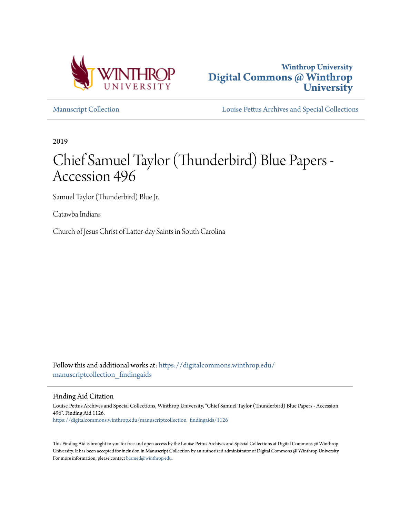



[Manuscript Collection](https://digitalcommons.winthrop.edu/manuscriptcollection_findingaids?utm_source=digitalcommons.winthrop.edu%2Fmanuscriptcollection_findingaids%2F1126&utm_medium=PDF&utm_campaign=PDFCoverPages) [Louise Pettus Archives and Special Collections](https://digitalcommons.winthrop.edu/pettus_archives?utm_source=digitalcommons.winthrop.edu%2Fmanuscriptcollection_findingaids%2F1126&utm_medium=PDF&utm_campaign=PDFCoverPages)

2019

# Chief Samuel Taylor (Thunderbird) Blue Papers - Accession 496

Samuel Taylor (Thunderbird) Blue Jr.

Catawba Indians

Church of Jesus Christ of Latter-day Saints in South Carolina

Follow this and additional works at: [https://digitalcommons.winthrop.edu/](https://digitalcommons.winthrop.edu/manuscriptcollection_findingaids?utm_source=digitalcommons.winthrop.edu%2Fmanuscriptcollection_findingaids%2F1126&utm_medium=PDF&utm_campaign=PDFCoverPages) manuscriptcollection findingaids

Finding Aid Citation

Louise Pettus Archives and Special Collections, Winthrop University, "Chief Samuel Taylor (Thunderbird) Blue Papers - Accession 496". Finding Aid 1126. [https://digitalcommons.winthrop.edu/manuscriptcollection\\_findingaids/1126](https://digitalcommons.winthrop.edu/manuscriptcollection_findingaids/1126?utm_source=digitalcommons.winthrop.edu%2Fmanuscriptcollection_findingaids%2F1126&utm_medium=PDF&utm_campaign=PDFCoverPages)

This Finding Aid is brought to you for free and open access by the Louise Pettus Archives and Special Collections at Digital Commons @ Winthrop University. It has been accepted for inclusion in Manuscript Collection by an authorized administrator of Digital Commons @ Winthrop University. For more information, please contact [bramed@winthrop.edu.](mailto:bramed@winthrop.edu)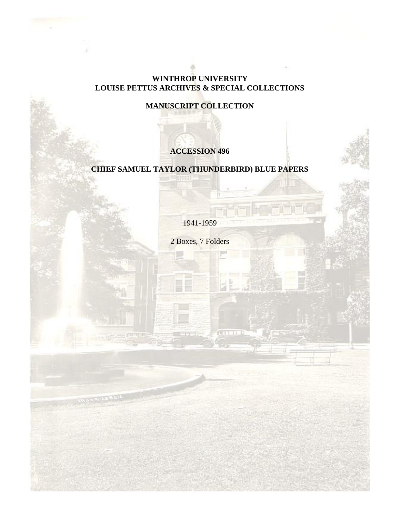### **WINTHROP UNIVERSITY LOUISE PETTUS ARCHIVES & SPECIAL COLLECTIONS**

# **MANUSCRIPT COLLECTION**

# **ACCESSION 496**

## **CHIEF SAMUEL TAYLOR (THUNDERBIRD) BLUE PAPERS**

1941-1959

2 Boxes, 7 Folders

**COLLE**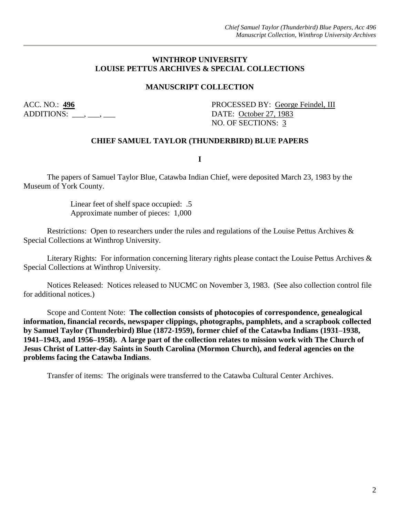#### **WINTHROP UNIVERSITY LOUISE PETTUS ARCHIVES & SPECIAL COLLECTIONS**

#### **MANUSCRIPT COLLECTION**

ADDITIONS: \_\_\_, \_\_\_, \_\_\_

ACC. NO.: 496 PROCESSED BY: George Feindel, III NO. OF SECTIONS: 3

#### **CHIEF SAMUEL TAYLOR (THUNDERBIRD) BLUE PAPERS**

**I**

The papers of Samuel Taylor Blue, Catawba Indian Chief, were deposited March 23, 1983 by the Museum of York County.

> Linear feet of shelf space occupied: .5 Approximate number of pieces: 1,000

Restrictions: Open to researchers under the rules and regulations of the Louise Pettus Archives & Special Collections at Winthrop University.

Literary Rights: For information concerning literary rights please contact the Louise Pettus Archives & Special Collections at Winthrop University.

Notices Released: Notices released to NUCMC on November 3, 1983. (See also collection control file for additional notices.)

Scope and Content Note: **The collection consists of photocopies of correspondence, genealogical information, financial records, newspaper clippings, photographs, pamphlets, and a scrapbook collected by Samuel Taylor (Thunderbird) Blue (1872-1959), former chief of the Catawba Indians (1931–1938, 1941–1943, and 1956–1958). A large part of the collection relates to mission work with The Church of Jesus Christ of Latter-day Saints in South Carolina (Mormon Church), and federal agencies on the problems facing the Catawba Indians**.

Transfer of items: The originals were transferred to the Catawba Cultural Center Archives.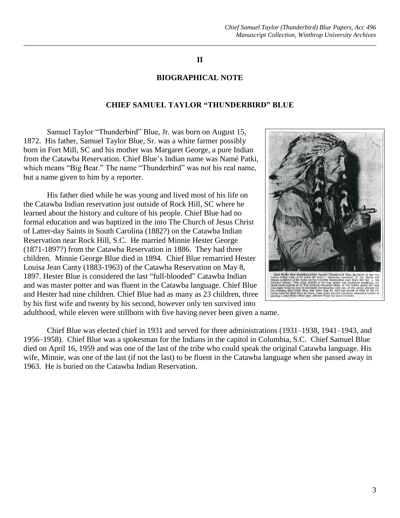#### **II**

#### **BIOGRAPHICAL NOTE**

#### **CHIEF SAMUEL TAYLOR "THUNDERBIRD" BLUE**

Samuel Taylor "Thunderbird" Blue, Jr. was born on August 15, 1872. His father, Samuel Taylor Blue, Sr. was a white farmer possibly born in Fort Mill, SC and his mother was Margaret George, a pure Indian from the Catawba Reservation. Chief Blue's Indian name was Namé Patki, which means "Big Bear." The name "Thunderbird" was not his real name, but a name given to him by a reporter.

His father died while he was young and lived most of his life on the Catawba Indian reservation just outside of Rock Hill, SC where he learned about the history and culture of his people. Chief Blue had no formal education and was baptized in the into The Church of Jesus Christ of Latter-day Saints in South Carolina (1882?) on the Catawba Indian Reservation near Rock Hill, S.C. He married Minnie Hester George (1871-1897?) from the Catawba Reservation in 1886. They had three children. Minnie George Blue died in 1894. Chief Blue remarried Hester Louisa Jean Canty (1883-1963) of the Catawba Reservation on May 8, 1897. Hester Blue is considered the last "full-blooded" Catawba Indian and was master potter and was fluent in the Catawba language. Chief Blue and Hester had nine children. Chief Blue had as many as 23 children, three by his first wife and twenty by his second, however only ten survived into



adulthood, while eleven were stillborn with five having never been given a name.

Chief Blue was elected chief in 1931 and served for three administrations (1931–1938, 1941–1943, and 1956–1958). Chief Blue was a spokesman for the Indians in the capitol in Columbia, S.C. Chief Samuel Blue died on April 16, 1959 and was one of the last of the tribe who could speak the original Catawba language. His wife, Minnie, was one of the last (if not the last) to be fluent in the Catawba language when she passed away in 1963. He is buried on the Catawba Indian Reservation.